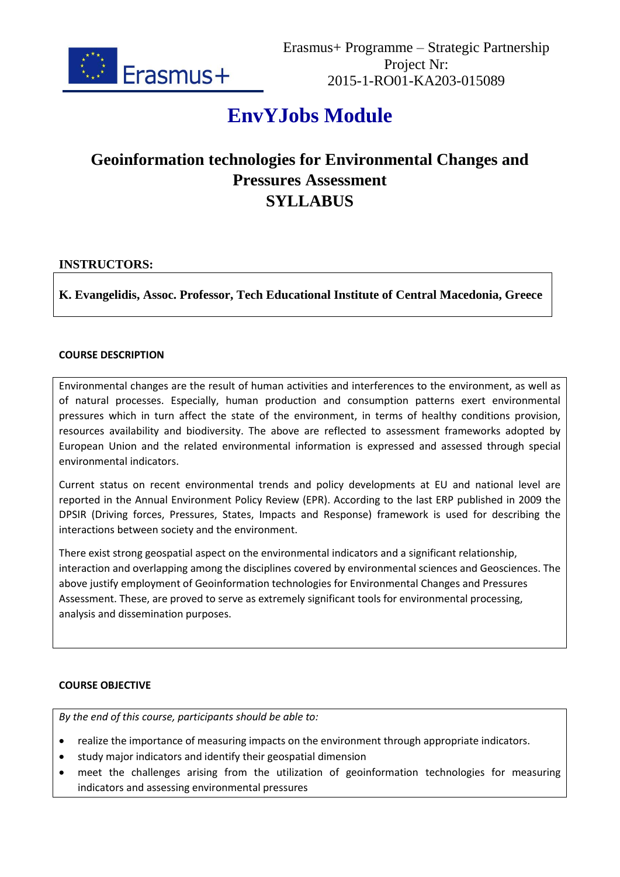

# **EnvYJobs Module**

# **Geoinformation technologies for Environmental Changes and Pressures Assessment SYLLABUS**

# **INSTRUCTORS:**

**K. Evangelidis, Assoc. Professor, Tech Educational Institute of Central Macedonia, Greece**

### **COURSE DESCRIPTION**

Environmental changes are the result of human activities and interferences to the environment, as well as of natural processes. Especially, human production and consumption patterns exert environmental pressures which in turn affect the state of the environment, in terms of healthy conditions provision, resources availability and biodiversity. The above are reflected to assessment frameworks adopted by European Union and the related environmental information is expressed and assessed through special environmental indicators.

Current status on recent environmental trends and policy developments at EU and national level are reported in the Annual Environment Policy Review (EPR). According to the last ERP published in 2009 the DPSIR (Driving forces, Pressures, States, Impacts and Response) framework is used for describing the interactions between society and the environment.

There exist strong geospatial aspect on the environmental indicators and a significant relationship, interaction and overlapping among the disciplines covered by environmental sciences and Geosciences. The above justify employment of Geoinformation technologies for Environmental Changes and Pressures Assessment. These, are proved to serve as extremely significant tools for environmental processing, analysis and dissemination purposes.

## **COURSE OBJECTIVE**

*By the end of this course, participants should be able to:*

- realize the importance of measuring impacts on the environment through appropriate indicators.
- study major indicators and identify their geospatial dimension
- meet the challenges arising from the utilization of geoinformation technologies for measuring indicators and assessing environmental pressures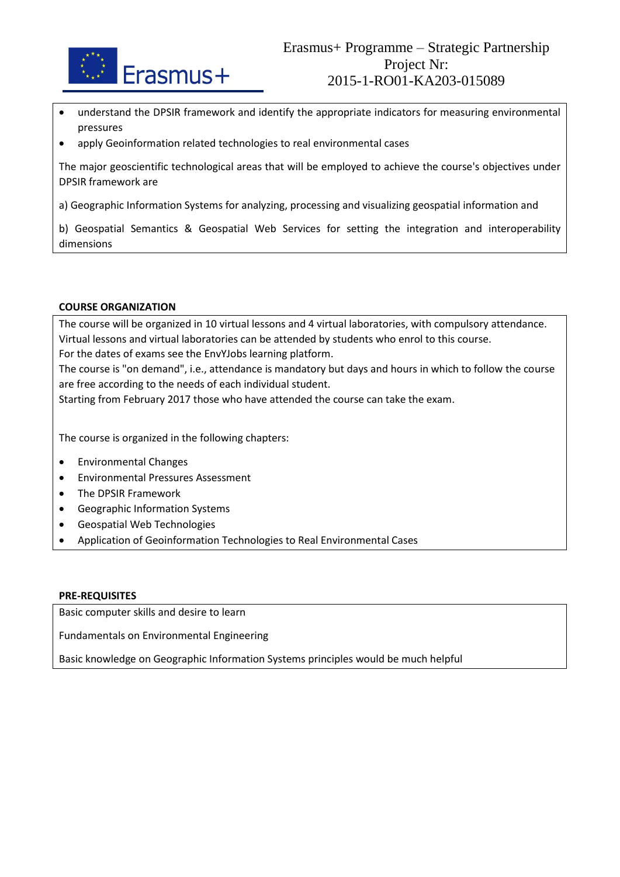

- understand the DPSIR framework and identify the appropriate indicators for measuring environmental pressures
- apply Geoinformation related technologies to real environmental cases

The major geoscientific technological areas that will be employed to achieve the course's objectives under DPSIR framework are

a) Geographic Information Systems for analyzing, processing and visualizing geospatial information and

b) Geospatial Semantics & Geospatial Web Services for setting the integration and interoperability dimensions

#### **COURSE ORGANIZATION**

The course will be organized in 10 virtual lessons and 4 virtual laboratories, with compulsory attendance. Virtual lessons and virtual laboratories can be attended by students who enrol to this course. For the dates of exams see the EnvYJobs learning platform. The course is "on demand", i.e., attendance is mandatory but days and hours in which to follow the course are free according to the needs of each individual student.

Starting from February 2017 those who have attended the course can take the exam.

The course is organized in the following chapters:

- Environmental Changes
- Environmental Pressures Assessment
- The DPSIR Framework
- Geographic Information Systems
- Geospatial Web Technologies
- Application of Geoinformation Technologies to Real Environmental Cases

#### **PRE-REQUISITES**

Basic computer skills and desire to learn

Fundamentals on Environmental Engineering

Basic knowledge on Geographic Information Systems principles would be much helpful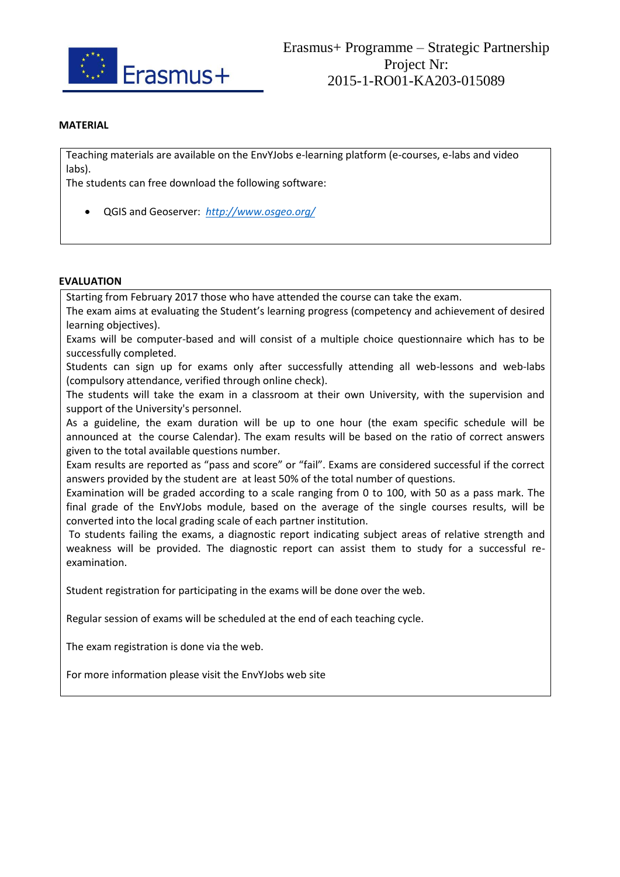

#### **MATERIAL**

Teaching materials are available on the EnvYJobs e-learning platform (e-courses, e-labs and video labs).

The students can free download the following software:

QGIS and Geoserver: *http://www.osgeo.org/*

#### **EVALUATION**

Starting from February 2017 those who have attended the course can take the exam.

The exam aims at evaluating the Student's learning progress (competency and achievement of desired learning objectives).

Exams will be computer-based and will consist of a multiple choice questionnaire which has to be successfully completed.

Students can sign up for exams only after successfully attending all web-lessons and web-labs (compulsory attendance, verified through online check).

The students will take the exam in a classroom at their own University, with the supervision and support of the University's personnel.

As a guideline, the exam duration will be up to one hour (the exam specific schedule will be announced at the course Calendar). The exam results will be based on the ratio of correct answers given to the total available questions number.

Exam results are reported as "pass and score" or "fail". Exams are considered successful if the correct answers provided by the student are at least 50% of the total number of questions.

Examination will be graded according to a scale ranging from 0 to 100, with 50 as a pass mark. The final grade of the EnvYJobs module, based on the average of the single courses results, will be converted into the local grading scale of each partner institution.

To students failing the exams, a diagnostic report indicating subject areas of relative strength and weakness will be provided. The diagnostic report can assist them to study for a successful reexamination.

Student registration for participating in the exams will be done over the web.

Regular session of exams will be scheduled at the end of each teaching cycle.

The exam registration is done via the web.

For more information please visit the EnvYJobs web site